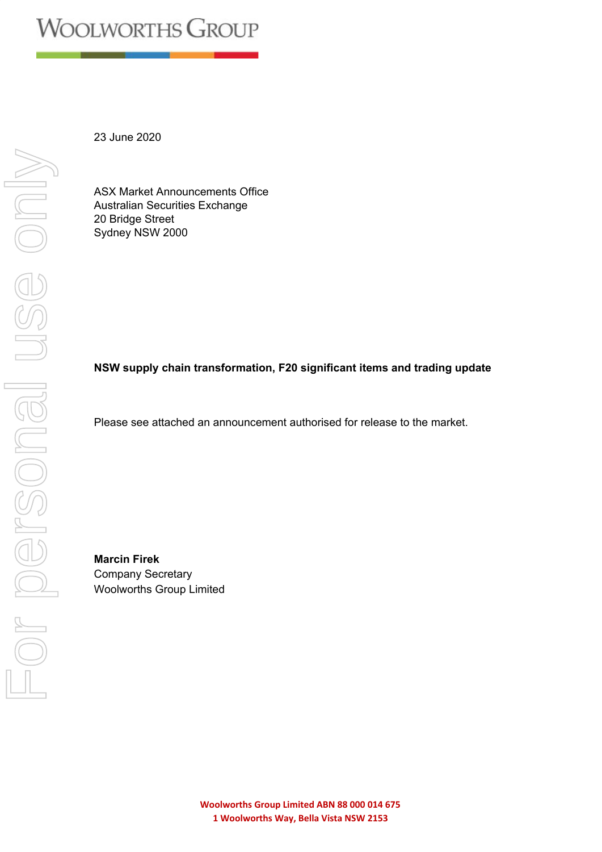23 June 2020

ASX Market Announcements Office Australian Securities Exchange 20 Bridge Street Sydney NSW 2000

# **NSW supply chain transformation, F20 significant items and trading update**

Please see attached an announcement authorised for release to the market.

**Marcin Firek** Company Secretary Woolworths Group Limited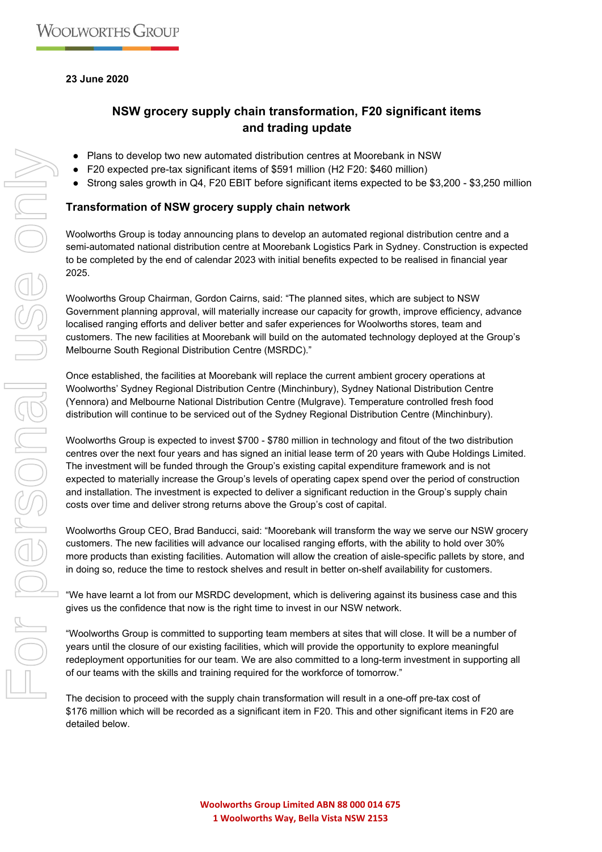## **23 June 2020**

# **NSW grocery supply chain transformation, F20 significant items and trading update**

- Plans to develop two new automated distribution centres at Moorebank in NSW
- F20 expected pre-tax significant items of \$591 million (H2 F20: \$460 million)
- Strong sales growth in Q4, F20 EBIT before significant items expected to be \$3,200 \$3,250 million

### **Transformation of NSW grocery supply chain network**

Woolworths Group is today announcing plans to develop an automated regional distribution centre and a semi-automated national distribution centre at Moorebank Logistics Park in Sydney. Construction is expected to be completed by the end of calendar 2023 with initial benefits expected to be realised in financial year 2025.

Woolworths Group Chairman, Gordon Cairns, said: "The planned sites, which are subject to NSW Government planning approval, will materially increase our capacity for growth, improve efficiency, advance localised ranging efforts and deliver better and safer experiences for Woolworths stores, team and customers. The new facilities at Moorebank will build on the automated technology deployed at the Group's Melbourne South Regional Distribution Centre (MSRDC)."

Once established, the facilities at Moorebank will replace the current ambient grocery operations at Woolworths' Sydney Regional Distribution Centre (Minchinbury), Sydney National Distribution Centre (Yennora) and Melbourne National Distribution Centre (Mulgrave). Temperature controlled fresh food distribution will continue to be serviced out of the Sydney Regional Distribution Centre (Minchinbury).

Woolworths Group is expected to invest \$700 - \$780 million in technology and fitout of the two distribution centres over the next four years and has signed an initial lease term of 20 years with Qube Holdings Limited. The investment will be funded through the Group's existing capital expenditure framework and is not expected to materially increase the Group's levels of operating capex spend over the period of construction and installation. The investment is expected to deliver a significant reduction in the Group's supply chain costs over time and deliver strong returns above the Group's cost of capital.

Woolworths Group CEO, Brad Banducci, said: "Moorebank will transform the way we serve our NSW grocery customers. The new facilities will advance our localised ranging efforts, with the ability to hold over 30% more products than existing facilities. Automation will allow the creation of aisle-specific pallets by store, and in doing so, reduce the time to restock shelves and result in better on-shelf availability for customers.

"We have learnt a lot from our MSRDC development, which is delivering against its business case and this gives us the confidence that now is the right time to invest in our NSW network.

"Woolworths Group is committed to supporting team members at sites that will close. It will be a number of years until the closure of our existing facilities, which will provide the opportunity to explore meaningful redeployment opportunities for our team. We are also committed to a long-term investment in supporting all of our teams with the skills and training required for the workforce of tomorrow."

The decision to proceed with the supply chain transformation will result in a one-off pre-tax cost of \$176 million which will be recorded as a significant item in F20. This and other significant items in F20 are detailed below.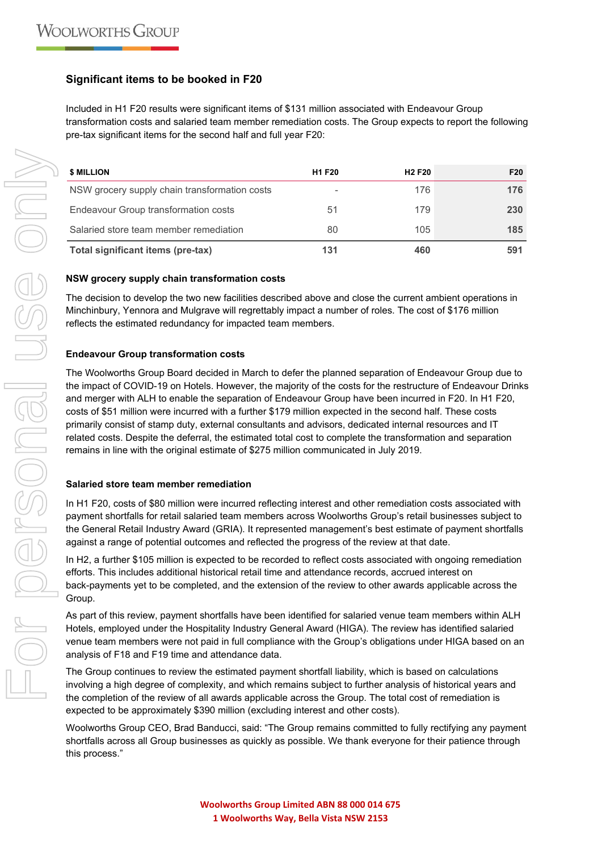## **Significant items to be booked in F20**

Included in H1 F20 results were significant items of \$131 million associated with Endeavour Group transformation costs and salaried team member remediation costs. The Group expects to report the following pre-tax significant items for the second half and full year F20:

| <b>\$ MILLION</b>                             | <b>H1 F20</b> | <b>H<sub>2</sub>F<sub>20</sub></b> | F <sub>20</sub> |
|-----------------------------------------------|---------------|------------------------------------|-----------------|
| NSW grocery supply chain transformation costs | -             | 176                                | 176             |
| Endeavour Group transformation costs          | 51            | 179                                | 230             |
| Salaried store team member remediation        | 80            | 105                                | 185             |
| Total significant items (pre-tax)             | 131           | 460                                | 591             |

### **NSW grocery supply chain transformation costs**

The decision to develop the two new facilities described above and close the current ambient operations in Minchinbury, Yennora and Mulgrave will regrettably impact a number of roles. The cost of \$176 million reflects the estimated redundancy for impacted team members.

### **Endeavour Group transformation costs**

The Woolworths Group Board decided in March to defer the planned separation of Endeavour Group due to the impact of COVID-19 on Hotels. However, the majority of the costs for the restructure of Endeavour Drinks and merger with ALH to enable the separation of Endeavour Group have been incurred in F20. In H1 F20, costs of \$51 million were incurred with a further \$179 million expected in the second half. These costs primarily consist of stamp duty, external consultants and advisors, dedicated internal resources and IT related costs. Despite the deferral, the estimated total cost to complete the transformation and separation remains in line with the original estimate of \$275 million communicated in July 2019.

#### **Salaried store team member remediation**

In H1 F20, costs of \$80 million were incurred reflecting interest and other remediation costs associated with payment shortfalls for retail salaried team members across Woolworths Group's retail businesses subject to the General Retail Industry Award (GRIA). It represented management's best estimate of payment shortfalls against a range of potential outcomes and reflected the progress of the review at that date.

In H2, a further \$105 million is expected to be recorded to reflect costs associated with ongoing remediation efforts. This includes additional historical retail time and attendance records, accrued interest on back-payments yet to be completed, and the extension of the review to other awards applicable across the Group.

As part of this review, payment shortfalls have been identified for salaried venue team members within ALH Hotels, employed under the Hospitality Industry General Award (HIGA). The review has identified salaried venue team members were not paid in full compliance with the Group's obligations under HIGA based on an analysis of F18 and F19 time and attendance data.

The Group continues to review the estimated payment shortfall liability, which is based on calculations involving a high degree of complexity, and which remains subject to further analysis of historical years and the completion of the review of all awards applicable across the Group. The total cost of remediation is expected to be approximately \$390 million (excluding interest and other costs).

Woolworths Group CEO, Brad Banducci, said: "The Group remains committed to fully rectifying any payment shortfalls across all Group businesses as quickly as possible. We thank everyone for their patience through this process."

**Woolworths Group Limited ABN 88 000 014 675 1 Woolworths Way, Bella Vista NSW 2153**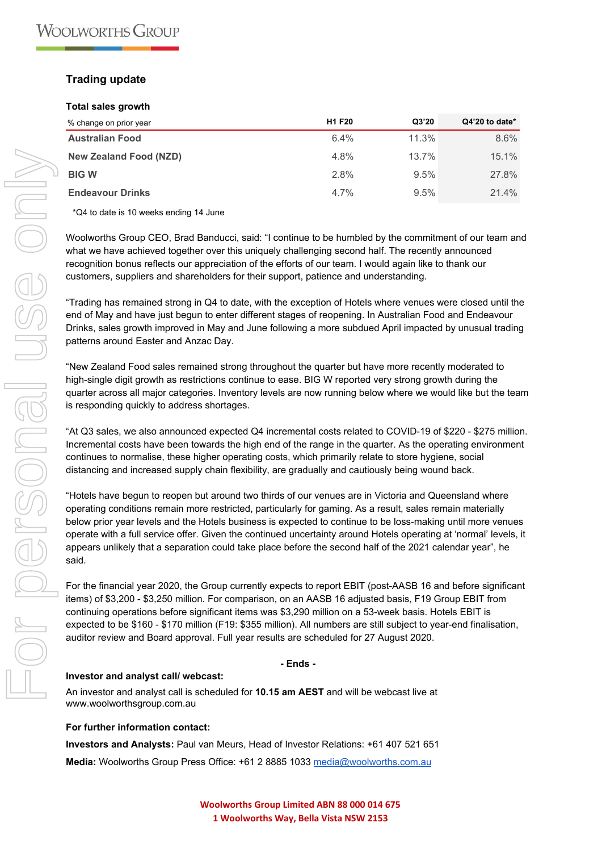## **Trading update**

#### **Total sales growth**

| % change on prior year        | <b>H1 F20</b> | Q3'20 | Q4'20 to date* |
|-------------------------------|---------------|-------|----------------|
| <b>Australian Food</b>        | $6.4\%$       | 11.3% | 8.6%           |
| <b>New Zealand Food (NZD)</b> | 4.8%          | 13.7% | 15.1%          |
| <b>BIGW</b>                   | 2.8%          | 9.5%  | 27.8%          |
| <b>Endeavour Drinks</b>       | $4.7\%$       | 9.5%  | 21.4%          |

\*Q4 to date is 10 weeks ending 14 June

Woolworths Group CEO, Brad Banducci, said: "I continue to be humbled by the commitment of our team and what we have achieved together over this uniquely challenging second half. The recently announced recognition bonus reflects our appreciation of the efforts of our team. I would again like to thank our customers, suppliers and shareholders for their support, patience and understanding.

"Trading has remained strong in Q4 to date, with the exception of Hotels where venues were closed until the end of May and have just begun to enter different stages of reopening. In Australian Food and Endeavour Drinks, sales growth improved in May and June following a more subdued April impacted by unusual trading patterns around Easter and Anzac Day.

"New Zealand Food sales remained strong throughout the quarter but have more recently moderated to high-single digit growth as restrictions continue to ease. BIG W reported very strong growth during the quarter across all major categories. Inventory levels are now running below where we would like but the team is responding quickly to address shortages.

"At Q3 sales, we also announced expected Q4 incremental costs related to COVID-19 of \$220 - \$275 million. Incremental costs have been towards the high end of the range in the quarter. As the operating environment continues to normalise, these higher operating costs, which primarily relate to store hygiene, social distancing and increased supply chain flexibility, are gradually and cautiously being wound back.

"Hotels have begun to reopen but around two thirds of our venues are in Victoria and Queensland where operating conditions remain more restricted, particularly for gaming. As a result, sales remain materially below prior year levels and the Hotels business is expected to continue to be loss-making until more venues operate with a full service offer. Given the continued uncertainty around Hotels operating at 'normal' levels, it appears unlikely that a separation could take place before the second half of the 2021 calendar year", he said.

For the financial year 2020, the Group currently expects to report EBIT (post-AASB 16 and before significant items) of \$3,200 - \$3,250 million. For comparison, on an AASB 16 adjusted basis, F19 Group EBIT from continuing operations before significant items was \$3,290 million on a 53-week basis. Hotels EBIT is expected to be \$160 - \$170 million (F19: \$355 million). All numbers are still subject to year-end finalisation, auditor review and Board approval. Full year results are scheduled for 27 August 2020.

#### **- Ends -**

#### **Investor and analyst call/ webcast:**

An investor and analyst call is scheduled for **10.15 am AEST** and will be webcast live at www.woolworthsgroup.com.au

#### **For further information contact:**

**Investors and Analysts:** Paul van Meurs, Head of Investor Relations: +61 407 521 651 **Media:** Woolworths Group Press Office: +61 2 8885 1033 [media@woolworths.com.au](mailto:media@woolworths.com.au)

> **Woolworths Group Limited ABN 88 000 014 675 1 Woolworths Way, Bella Vista NSW 2153**